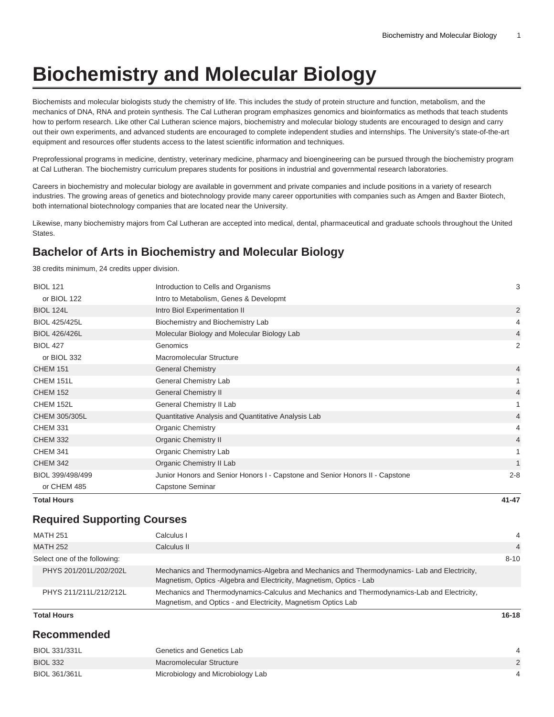# **Biochemistry and Molecular Biology**

Biochemists and molecular biologists study the chemistry of life. This includes the study of protein structure and function, metabolism, and the mechanics of DNA, RNA and protein synthesis. The Cal Lutheran program emphasizes genomics and bioinformatics as methods that teach students how to perform research. Like other Cal Lutheran science majors, biochemistry and molecular biology students are encouraged to design and carry out their own experiments, and advanced students are encouraged to complete independent studies and internships. The University's state-of-the-art equipment and resources offer students access to the latest scientific information and techniques.

Preprofessional programs in medicine, dentistry, veterinary medicine, pharmacy and bioengineering can be pursued through the biochemistry program at Cal Lutheran. The biochemistry curriculum prepares students for positions in industrial and governmental research laboratories.

Careers in biochemistry and molecular biology are available in government and private companies and include positions in a variety of research industries. The growing areas of genetics and biotechnology provide many career opportunities with companies such as Amgen and Baxter Biotech, both international biotechnology companies that are located near the University.

Likewise, many biochemistry majors from Cal Lutheran are accepted into medical, dental, pharmaceutical and graduate schools throughout the United **States** 

# **Bachelor of Arts in Biochemistry and Molecular Biology**

38 credits minimum, 24 credits upper division.

| <b>Total Hours</b>   |                                                                              | $41 - 47$      |
|----------------------|------------------------------------------------------------------------------|----------------|
| or CHEM 485          | Capstone Seminar                                                             |                |
| BIOL 399/498/499     | Junior Honors and Senior Honors I - Capstone and Senior Honors II - Capstone | $2 - 8$        |
| <b>CHEM 342</b>      | Organic Chemistry II Lab                                                     | $\mathbf{1}$   |
| <b>CHEM 341</b>      | Organic Chemistry Lab                                                        |                |
| <b>CHEM 332</b>      | <b>Organic Chemistry II</b>                                                  | 4              |
| <b>CHEM 331</b>      | <b>Organic Chemistry</b>                                                     | 4              |
| CHEM 305/305L        | Quantitative Analysis and Quantitative Analysis Lab                          | 4              |
| CHEM 152L            | General Chemistry II Lab                                                     |                |
| <b>CHEM 152</b>      | <b>General Chemistry II</b>                                                  | 4              |
| CHEM 151L            | General Chemistry Lab                                                        |                |
| <b>CHEM 151</b>      | <b>General Chemistry</b>                                                     | 4              |
| or BIOL 332          | Macromolecular Structure                                                     |                |
| <b>BIOL 427</b>      | Genomics                                                                     | 2              |
| <b>BIOL 426/426L</b> | Molecular Biology and Molecular Biology Lab                                  | $\overline{4}$ |
| <b>BIOL 425/425L</b> | Biochemistry and Biochemistry Lab                                            | 4              |
| <b>BIOL 124L</b>     | Intro Biol Experimentation II                                                | $\overline{2}$ |
| or BIOL 122          | Intro to Metabolism, Genes & Developmt                                       |                |
| <b>BIOL 121</b>      | Introduction to Cells and Organisms                                          | 3              |

# **Required Supporting Courses**

| <b>MATH 251</b>              | Calculus I                                                                                                                                                        | 4              |
|------------------------------|-------------------------------------------------------------------------------------------------------------------------------------------------------------------|----------------|
| <b>MATH 252</b>              | Calculus II                                                                                                                                                       | $\overline{4}$ |
| Select one of the following: |                                                                                                                                                                   | $8 - 10$       |
| PHYS 201/201L/202/202L       | Mechanics and Thermodynamics-Algebra and Mechanics and Thermodynamics-Lab and Electricity,<br>Magnetism, Optics -Algebra and Electricity, Magnetism, Optics - Lab |                |
| PHYS 211/211L/212/212L       | Mechanics and Thermodynamics-Calculus and Mechanics and Thermodynamics-Lab and Electricity,<br>Magnetism, and Optics - and Electricity, Magnetism Optics Lab      |                |

#### **Total Hours 16-18**

# **Recommended**

| BIOL 331/331L   | Genetics and Genetics Lab         |  |
|-----------------|-----------------------------------|--|
| <b>BIOL 332</b> | Macromolecular Structure          |  |
| BIOL 361/361L   | Microbiology and Microbiology Lab |  |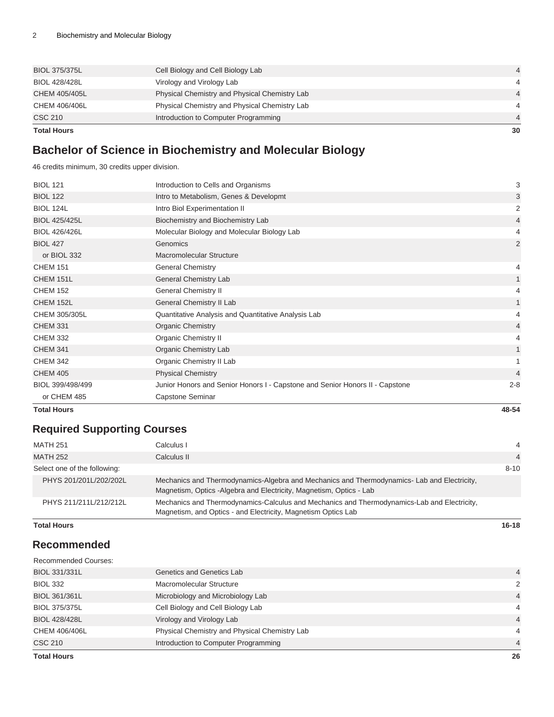| 30             |
|----------------|
| $\overline{4}$ |
|                |
| $\overline{4}$ |
| 4              |
| $\overline{4}$ |
|                |

# **Bachelor of Science in Biochemistry and Molecular Biology**

46 credits minimum, 30 credits upper division.

| <b>BIOL 121</b>      | Introduction to Cells and Organisms                                          | 3              |
|----------------------|------------------------------------------------------------------------------|----------------|
| <b>BIOL 122</b>      | Intro to Metabolism, Genes & Developmt                                       | 3              |
| <b>BIOL 124L</b>     | Intro Biol Experimentation II                                                | 2              |
| <b>BIOL 425/425L</b> | Biochemistry and Biochemistry Lab                                            | $\overline{4}$ |
| <b>BIOL 426/426L</b> | Molecular Biology and Molecular Biology Lab                                  | 4              |
| <b>BIOL 427</b>      | Genomics                                                                     | $\overline{2}$ |
| or BIOL 332          | Macromolecular Structure                                                     |                |
| <b>CHEM 151</b>      | <b>General Chemistry</b>                                                     | 4              |
| CHEM 151L            | <b>General Chemistry Lab</b>                                                 | $\mathbf{1}$   |
| <b>CHEM 152</b>      | <b>General Chemistry II</b>                                                  | 4              |
| CHEM 152L            | General Chemistry II Lab                                                     | $\mathbf{1}$   |
| CHEM 305/305L        | Quantitative Analysis and Quantitative Analysis Lab                          | 4              |
| <b>CHEM 331</b>      | <b>Organic Chemistry</b>                                                     | 4              |
| <b>CHEM 332</b>      | <b>Organic Chemistry II</b>                                                  | 4              |
| <b>CHEM 341</b>      | Organic Chemistry Lab                                                        | 1              |
| <b>CHEM 342</b>      | Organic Chemistry II Lab                                                     |                |
| <b>CHEM 405</b>      | <b>Physical Chemistry</b>                                                    | $\overline{4}$ |
| BIOL 399/498/499     | Junior Honors and Senior Honors I - Capstone and Senior Honors II - Capstone | $2 - 8$        |
| or CHEM 485          | Capstone Seminar                                                             |                |

**Total Hours 48-54**

# **Required Supporting Courses**

| MATH 251                     | Calculus I                                                                                                                                                         | $\overline{4}$ |
|------------------------------|--------------------------------------------------------------------------------------------------------------------------------------------------------------------|----------------|
| <b>MATH 252</b>              | Calculus II                                                                                                                                                        | $\overline{4}$ |
| Select one of the following: |                                                                                                                                                                    | $8 - 10$       |
| PHYS 201/201L/202/202L       | Mechanics and Thermodynamics-Algebra and Mechanics and Thermodynamics- Lab and Electricity,<br>Magnetism, Optics -Algebra and Electricity, Magnetism, Optics - Lab |                |
| PHYS 211/211L/212/212L       | Mechanics and Thermodynamics-Calculus and Mechanics and Thermodynamics-Lab and Electricity,<br>Magnetism, and Optics - and Electricity, Magnetism Optics Lab       |                |

#### **Total Hours 16-18**

# **Recommended**

| <b>Total Hours</b>          |                                               | 26             |
|-----------------------------|-----------------------------------------------|----------------|
| <b>CSC 210</b>              | Introduction to Computer Programming          | $\overline{4}$ |
| CHEM 406/406L               | Physical Chemistry and Physical Chemistry Lab | 4              |
| <b>BIOL 428/428L</b>        | Virology and Virology Lab                     | $\overline{4}$ |
| <b>BIOL 375/375L</b>        | Cell Biology and Cell Biology Lab             | 4              |
| BIOL 361/361L               | Microbiology and Microbiology Lab             | $\overline{4}$ |
| <b>BIOL 332</b>             | Macromolecular Structure                      | $\mathcal{P}$  |
| BIOL 331/331L               | Genetics and Genetics Lab                     | $\overline{4}$ |
| <b>Recommended Courses:</b> |                                               |                |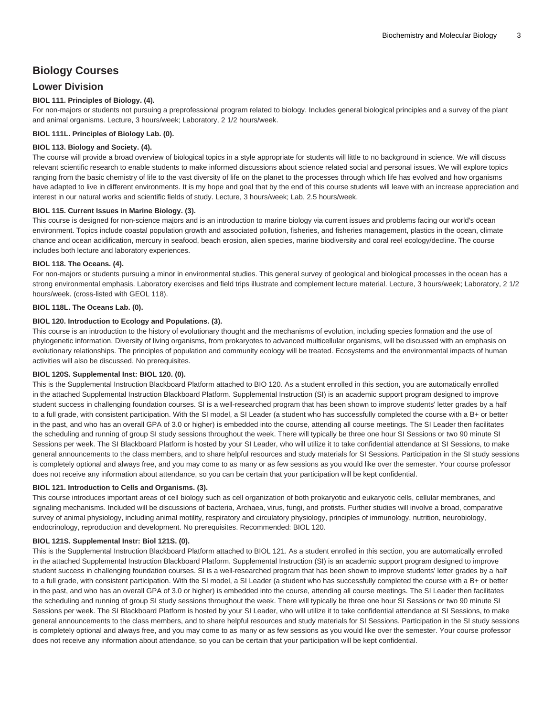# **Biology Courses**

# **Lower Division**

## **BIOL 111. Principles of Biology. (4).**

For non-majors or students not pursuing a preprofessional program related to biology. Includes general biological principles and a survey of the plant and animal organisms. Lecture, 3 hours/week; Laboratory, 2 1/2 hours/week.

## **BIOL 111L. Principles of Biology Lab. (0).**

#### **BIOL 113. Biology and Society. (4).**

The course will provide a broad overview of biological topics in a style appropriate for students will little to no background in science. We will discuss relevant scientific research to enable students to make informed discussions about science related social and personal issues. We will explore topics ranging from the basic chemistry of life to the vast diversity of life on the planet to the processes through which life has evolved and how organisms have adapted to live in different environments. It is my hope and goal that by the end of this course students will leave with an increase appreciation and interest in our natural works and scientific fields of study. Lecture, 3 hours/week; Lab, 2.5 hours/week.

#### **BIOL 115. Current Issues in Marine Biology. (3).**

This course is designed for non-science majors and is an introduction to marine biology via current issues and problems facing our world's ocean environment. Topics include coastal population growth and associated pollution, fisheries, and fisheries management, plastics in the ocean, climate chance and ocean acidification, mercury in seafood, beach erosion, alien species, marine biodiversity and coral reel ecology/decline. The course includes both lecture and laboratory experiences.

#### **BIOL 118. The Oceans. (4).**

For non-majors or students pursuing a minor in environmental studies. This general survey of geological and biological processes in the ocean has a strong environmental emphasis. Laboratory exercises and field trips illustrate and complement lecture material. Lecture, 3 hours/week; Laboratory, 2 1/2 hours/week. (cross-listed with [GEOL 118\)](/search/?P=GEOL%20118).

#### **BIOL 118L. The Oceans Lab. (0).**

#### **BIOL 120. Introduction to Ecology and Populations. (3).**

This course is an introduction to the history of evolutionary thought and the mechanisms of evolution, including species formation and the use of phylogenetic information. Diversity of living organisms, from prokaryotes to advanced multicellular organisms, will be discussed with an emphasis on evolutionary relationships. The principles of population and community ecology will be treated. Ecosystems and the environmental impacts of human activities will also be discussed. No prerequisites.

#### **BIOL 120S. Supplemental Inst: BIOL 120. (0).**

This is the Supplemental Instruction Blackboard Platform attached to BIO 120. As a student enrolled in this section, you are automatically enrolled in the attached Supplemental Instruction Blackboard Platform. Supplemental Instruction (SI) is an academic support program designed to improve student success in challenging foundation courses. SI is a well-researched program that has been shown to improve students' letter grades by a half to a full grade, with consistent participation. With the SI model, a SI Leader (a student who has successfully completed the course with a B+ or better in the past, and who has an overall GPA of 3.0 or higher) is embedded into the course, attending all course meetings. The SI Leader then facilitates the scheduling and running of group SI study sessions throughout the week. There will typically be three one hour SI Sessions or two 90 minute SI Sessions per week. The SI Blackboard Platform is hosted by your SI Leader, who will utilize it to take confidential attendance at SI Sessions, to make general announcements to the class members, and to share helpful resources and study materials for SI Sessions. Participation in the SI study sessions is completely optional and always free, and you may come to as many or as few sessions as you would like over the semester. Your course professor does not receive any information about attendance, so you can be certain that your participation will be kept confidential.

#### **BIOL 121. Introduction to Cells and Organisms. (3).**

This course introduces important areas of cell biology such as cell organization of both prokaryotic and eukaryotic cells, cellular membranes, and signaling mechanisms. Included will be discussions of bacteria, Archaea, virus, fungi, and protists. Further studies will involve a broad, comparative survey of animal physiology, including animal motility, respiratory and circulatory physiology, principles of immunology, nutrition, neurobiology, endocrinology, reproduction and development. No prerequisites. Recommended: [BIOL 120.](/search/?P=BIOL%20120)

#### **BIOL 121S. Supplemental Instr: Biol 121S. (0).**

This is the Supplemental Instruction Blackboard Platform attached to [BIOL 121.](/search/?P=BIOL%20121) As a student enrolled in this section, you are automatically enrolled in the attached Supplemental Instruction Blackboard Platform. Supplemental Instruction (SI) is an academic support program designed to improve student success in challenging foundation courses. SI is a well-researched program that has been shown to improve students' letter grades by a half to a full grade, with consistent participation. With the SI model, a SI Leader (a student who has successfully completed the course with a B+ or better in the past, and who has an overall GPA of 3.0 or higher) is embedded into the course, attending all course meetings. The SI Leader then facilitates the scheduling and running of group SI study sessions throughout the week. There will typically be three one hour SI Sessions or two 90 minute SI Sessions per week. The SI Blackboard Platform is hosted by your SI Leader, who will utilize it to take confidential attendance at SI Sessions, to make general announcements to the class members, and to share helpful resources and study materials for SI Sessions. Participation in the SI study sessions is completely optional and always free, and you may come to as many or as few sessions as you would like over the semester. Your course professor does not receive any information about attendance, so you can be certain that your participation will be kept confidential.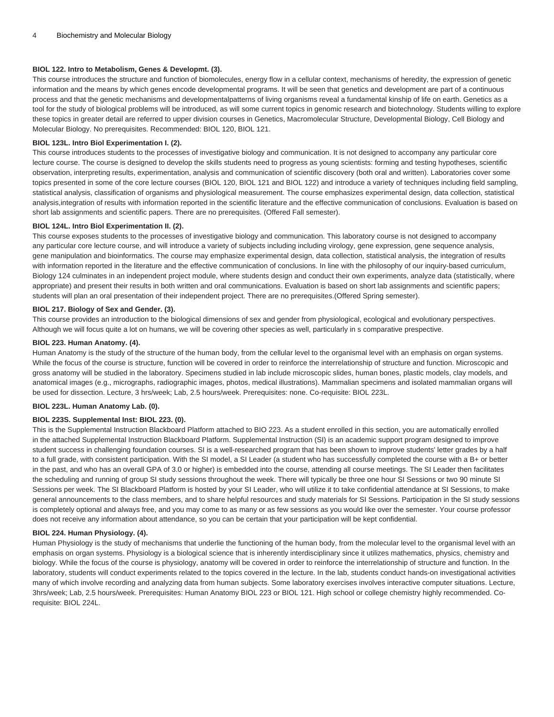## **BIOL 122. Intro to Metabolism, Genes & Developmt. (3).**

This course introduces the structure and function of biomolecules, energy flow in a cellular context, mechanisms of heredity, the expression of genetic information and the means by which genes encode developmental programs. It will be seen that genetics and development are part of a continuous process and that the genetic mechanisms and developmentalpatterns of living organisms reveal a fundamental kinship of life on earth. Genetics as a tool for the study of biological problems will be introduced, as will some current topics in genomic research and biotechnology. Students willing to explore these topics in greater detail are referred to upper division courses in Genetics, Macromolecular Structure, Developmental Biology, Cell Biology and Molecular Biology. No prerequisites. Recommended: [BIOL 120,](/search/?P=BIOL%20120) [BIOL 121](/search/?P=BIOL%20121).

#### **BIOL 123L. Intro Biol Experimentation I. (2).**

This course introduces students to the processes of investigative biology and communication. It is not designed to accompany any particular core lecture course. The course is designed to develop the skills students need to progress as young scientists: forming and testing hypotheses, scientific observation, interpreting results, experimentation, analysis and communication of scientific discovery (both oral and written). Laboratories cover some topics presented in some of the core lecture courses [\(BIOL 120](/search/?P=BIOL%20120), [BIOL 121](/search/?P=BIOL%20121) and [BIOL 122\)](/search/?P=BIOL%20122) and introduce a variety of techniques including field sampling, statistical analysis, classification of organisms and physiological measurement. The course emphasizes experimental design, data collection, statistical analysis,integration of results with information reported in the scientific literature and the effective communication of conclusions. Evaluation is based on short lab assignments and scientific papers. There are no prerequisites. (Offered Fall semester).

#### **BIOL 124L. Intro Biol Experimentation II. (2).**

This course exposes students to the processes of investigative biology and communication. This laboratory course is not designed to accompany any particular core lecture course, and will introduce a variety of subjects including including virology, gene expression, gene sequence analysis, gene manipulation and bioinformatics. The course may emphasize experimental design, data collection, statistical analysis, the integration of results with information reported in the literature and the effective communication of conclusions. In line with the philosophy of our inquiry-based curriculum, Biology 124 culminates in an independent project module, where students design and conduct their own experiments, analyze data (statistically, where appropriate) and present their results in both written and oral communications. Evaluation is based on short lab assignments and scientific papers; students will plan an oral presentation of their independent project. There are no prerequisites.(Offered Spring semester).

#### **BIOL 217. Biology of Sex and Gender. (3).**

This course provides an introduction to the biological dimensions of sex and gender from physiological, ecological and evolutionary perspectives. Although we will focus quite a lot on humans, we will be covering other species as well, particularly in s comparative prespective.

#### **BIOL 223. Human Anatomy. (4).**

Human Anatomy is the study of the structure of the human body, from the cellular level to the organismal level with an emphasis on organ systems. While the focus of the course is structure, function will be covered in order to reinforce the interrelationship of structure and function. Microscopic and gross anatomy will be studied in the laboratory. Specimens studied in lab include microscopic slides, human bones, plastic models, clay models, and anatomical images (e.g., micrographs, radiographic images, photos, medical illustrations). Mammalian specimens and isolated mammalian organs will be used for dissection. Lecture, 3 hrs/week; Lab, 2.5 hours/week. Prerequisites: none. Co-requisite: [BIOL 223L](/search/?P=BIOL%20223L).

#### **BIOL 223L. Human Anatomy Lab. (0).**

#### **BIOL 223S. Supplemental Inst: BIOL 223. (0).**

This is the Supplemental Instruction Blackboard Platform attached to BIO 223. As a student enrolled in this section, you are automatically enrolled in the attached Supplemental Instruction Blackboard Platform. Supplemental Instruction (SI) is an academic support program designed to improve student success in challenging foundation courses. SI is a well-researched program that has been shown to improve students' letter grades by a half to a full grade, with consistent participation. With the SI model, a SI Leader (a student who has successfully completed the course with a B+ or better in the past, and who has an overall GPA of 3.0 or higher) is embedded into the course, attending all course meetings. The SI Leader then facilitates the scheduling and running of group SI study sessions throughout the week. There will typically be three one hour SI Sessions or two 90 minute SI Sessions per week. The SI Blackboard Platform is hosted by your SI Leader, who will utilize it to take confidential attendance at SI Sessions, to make general announcements to the class members, and to share helpful resources and study materials for SI Sessions. Participation in the SI study sessions is completely optional and always free, and you may come to as many or as few sessions as you would like over the semester. Your course professor does not receive any information about attendance, so you can be certain that your participation will be kept confidential.

#### **BIOL 224. Human Physiology. (4).**

Human Physiology is the study of mechanisms that underlie the functioning of the human body, from the molecular level to the organismal level with an emphasis on organ systems. Physiology is a biological science that is inherently interdisciplinary since it utilizes mathematics, physics, chemistry and biology. While the focus of the course is physiology, anatomy will be covered in order to reinforce the interrelationship of structure and function. In the laboratory, students will conduct experiments related to the topics covered in the lecture. In the lab, students conduct hands-on investigational activities many of which involve recording and analyzing data from human subjects. Some laboratory exercises involves interactive computer situations. Lecture, 3hrs/week; Lab, 2.5 hours/week. Prerequisites: Human Anatomy [BIOL 223](/search/?P=BIOL%20223) or [BIOL 121](/search/?P=BIOL%20121). High school or college chemistry highly recommended. Corequisite: [BIOL 224L.](/search/?P=BIOL%20224L)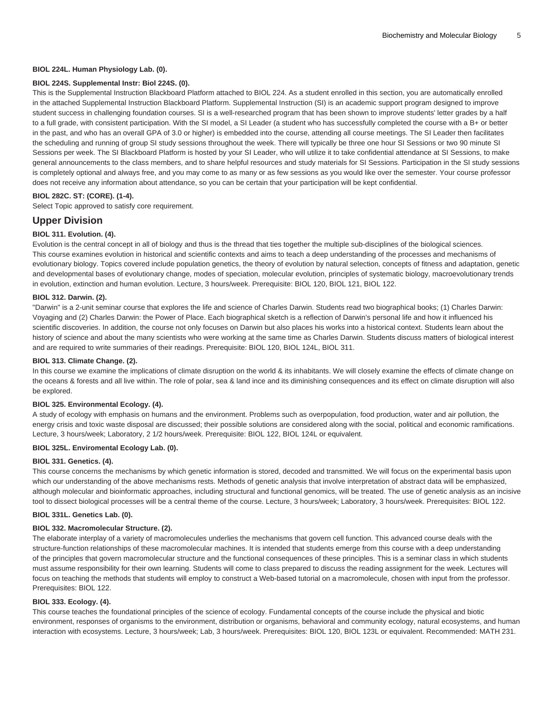#### **BIOL 224L. Human Physiology Lab. (0).**

#### **BIOL 224S. Supplemental Instr: Biol 224S. (0).**

This is the Supplemental Instruction Blackboard Platform attached to [BIOL 224.](/search/?P=BIOL%20224) As a student enrolled in this section, you are automatically enrolled in the attached Supplemental Instruction Blackboard Platform. Supplemental Instruction (SI) is an academic support program designed to improve student success in challenging foundation courses. SI is a well-researched program that has been shown to improve students' letter grades by a half to a full grade, with consistent participation. With the SI model, a SI Leader (a student who has successfully completed the course with a B+ or better in the past, and who has an overall GPA of 3.0 or higher) is embedded into the course, attending all course meetings. The SI Leader then facilitates the scheduling and running of group SI study sessions throughout the week. There will typically be three one hour SI Sessions or two 90 minute SI Sessions per week. The SI Blackboard Platform is hosted by your SI Leader, who will utilize it to take confidential attendance at SI Sessions, to make general announcements to the class members, and to share helpful resources and study materials for SI Sessions. Participation in the SI study sessions is completely optional and always free, and you may come to as many or as few sessions as you would like over the semester. Your course professor does not receive any information about attendance, so you can be certain that your participation will be kept confidential.

#### **BIOL 282C. ST: (CORE). (1-4).**

Select Topic approved to satisfy core requirement.

# **Upper Division**

### **BIOL 311. Evolution. (4).**

Evolution is the central concept in all of biology and thus is the thread that ties together the multiple sub-disciplines of the biological sciences. This course examines evolution in historical and scientific contexts and aims to teach a deep understanding of the processes and mechanisms of evolutionary biology. Topics covered include population genetics, the theory of evolution by natural selection, concepts of fitness and adaptation, genetic and developmental bases of evolutionary change, modes of speciation, molecular evolution, principles of systematic biology, macroevolutionary trends in evolution, extinction and human evolution. Lecture, 3 hours/week. Prerequisite: [BIOL 120,](/search/?P=BIOL%20120) [BIOL 121,](/search/?P=BIOL%20121) [BIOL 122](/search/?P=BIOL%20122).

#### **BIOL 312. Darwin. (2).**

"Darwin" is a 2-unit seminar course that explores the life and science of Charles Darwin. Students read two biographical books; (1) Charles Darwin: Voyaging and (2) Charles Darwin: the Power of Place. Each biographical sketch is a reflection of Darwin's personal life and how it influenced his scientific discoveries. In addition, the course not only focuses on Darwin but also places his works into a historical context. Students learn about the history of science and about the many scientists who were working at the same time as Charles Darwin. Students discuss matters of biological interest and are required to write summaries of their readings. Prerequisite: [BIOL 120](/search/?P=BIOL%20120), [BIOL 124L,](/search/?P=BIOL%20124L) [BIOL 311.](/search/?P=BIOL%20311)

#### **BIOL 313. Climate Change. (2).**

In this course we examine the implications of climate disruption on the world & its inhabitants. We will closely examine the effects of climate change on the oceans & forests and all live within. The role of polar, sea & land ince and its diminishing consequences and its effect on climate disruption will also be explored.

#### **BIOL 325. Environmental Ecology. (4).**

A study of ecology with emphasis on humans and the environment. Problems such as overpopulation, food production, water and air pollution, the energy crisis and toxic waste disposal are discussed; their possible solutions are considered along with the social, political and economic ramifications. Lecture, 3 hours/week; Laboratory, 2 1/2 hours/week. Prerequisite: [BIOL 122](/search/?P=BIOL%20122), [BIOL 124L](/search/?P=BIOL%20124L) or equivalent.

# **BIOL 325L. Enviromental Ecology Lab. (0).**

#### **BIOL 331. Genetics. (4).**

This course concerns the mechanisms by which genetic information is stored, decoded and transmitted. We will focus on the experimental basis upon which our understanding of the above mechanisms rests. Methods of genetic analysis that involve interpretation of abstract data will be emphasized, although molecular and bioinformatic approaches, including structural and functional genomics, will be treated. The use of genetic analysis as an incisive tool to dissect biological processes will be a central theme of the course. Lecture, 3 hours/week; Laboratory, 3 hours/week. Prerequisites: [BIOL 122.](/search/?P=BIOL%20122)

#### **BIOL 331L. Genetics Lab. (0).**

#### **BIOL 332. Macromolecular Structure. (2).**

The elaborate interplay of a variety of macromolecules underlies the mechanisms that govern cell function. This advanced course deals with the structure-function relationships of these macromolecular machines. It is intended that students emerge from this course with a deep understanding of the principles that govern macromolecular structure and the functional consequences of these principles. This is a seminar class in which students must assume responsibility for their own learning. Students will come to class prepared to discuss the reading assignment for the week. Lectures will focus on teaching the methods that students will employ to construct a Web-based tutorial on a macromolecule, chosen with input from the professor. Prerequisites: [BIOL 122.](/search/?P=BIOL%20122)

#### **BIOL 333. Ecology. (4).**

This course teaches the foundational principles of the science of ecology. Fundamental concepts of the course include the physical and biotic environment, responses of organisms to the environment, distribution or organisms, behavioral and community ecology, natural ecosystems, and human interaction with ecosystems. Lecture, 3 hours/week; Lab, 3 hours/week. Prerequisites: [BIOL 120](/search/?P=BIOL%20120), [BIOL 123L](/search/?P=BIOL%20123L) or equivalent. Recommended: [MATH 231](/search/?P=MATH%20231).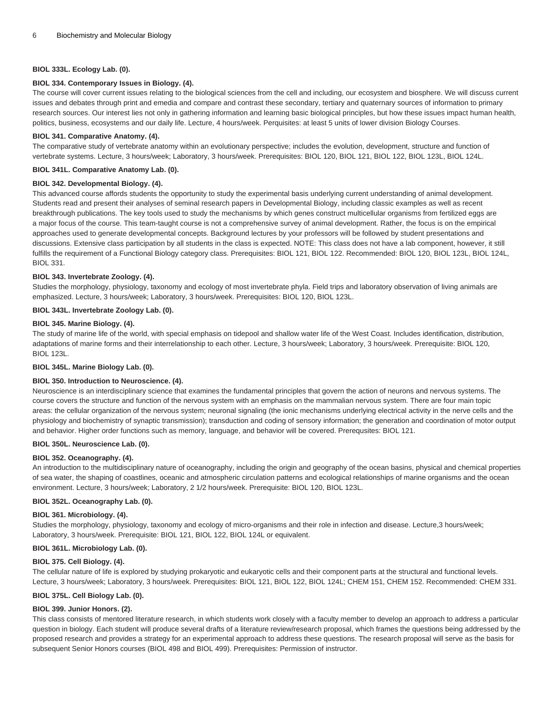#### **BIOL 333L. Ecology Lab. (0).**

#### **BIOL 334. Contemporary Issues in Biology. (4).**

The course will cover current issues relating to the biological sciences from the cell and including, our ecosystem and biosphere. We will discuss current issues and debates through print and emedia and compare and contrast these secondary, tertiary and quaternary sources of information to primary research sources. Our interest lies not only in gathering information and learning basic biological principles, but how these issues impact human health, politics, business, ecosystems and our daily life. Lecture, 4 hours/week. Perquisites: at least 5 units of lower division Biology Courses.

#### **BIOL 341. Comparative Anatomy. (4).**

The comparative study of vertebrate anatomy within an evolutionary perspective; includes the evolution, development, structure and function of vertebrate systems. Lecture, 3 hours/week; Laboratory, 3 hours/week. Prerequisites: [BIOL 120,](/search/?P=BIOL%20120) [BIOL 121](/search/?P=BIOL%20121), [BIOL 122](/search/?P=BIOL%20122), [BIOL 123L](/search/?P=BIOL%20123L), [BIOL 124L.](/search/?P=BIOL%20124L)

#### **BIOL 341L. Comparative Anatomy Lab. (0).**

#### **BIOL 342. Developmental Biology. (4).**

This advanced course affords students the opportunity to study the experimental basis underlying current understanding of animal development. Students read and present their analyses of seminal research papers in Developmental Biology, including classic examples as well as recent breakthrough publications. The key tools used to study the mechanisms by which genes construct multicellular organisms from fertilized eggs are a major focus of the course. This team-taught course is not a comprehensive survey of animal development. Rather, the focus is on the empirical approaches used to generate developmental concepts. Background lectures by your professors will be followed by student presentations and discussions. Extensive class participation by all students in the class is expected. NOTE: This class does not have a lab component, however, it still fulfills the requirement of a Functional Biology category class. Prerequisites: [BIOL 121](/search/?P=BIOL%20121), [BIOL 122](/search/?P=BIOL%20122). Recommended: [BIOL 120](/search/?P=BIOL%20120), [BIOL 123L](/search/?P=BIOL%20123L), [BIOL 124L,](/search/?P=BIOL%20124L) [BIOL 331.](/search/?P=BIOL%20331)

#### **BIOL 343. Invertebrate Zoology. (4).**

Studies the morphology, physiology, taxonomy and ecology of most invertebrate phyla. Field trips and laboratory observation of living animals are emphasized. Lecture, 3 hours/week; Laboratory, 3 hours/week. Prerequisites: [BIOL 120](/search/?P=BIOL%20120), [BIOL 123L](/search/?P=BIOL%20123L).

#### **BIOL 343L. Invertebrate Zoology Lab. (0).**

#### **BIOL 345. Marine Biology. (4).**

The study of marine life of the world, with special emphasis on tidepool and shallow water life of the West Coast. Includes identification, distribution, adaptations of marine forms and their interrelationship to each other. Lecture, 3 hours/week; Laboratory, 3 hours/week. Prerequisite: [BIOL 120](/search/?P=BIOL%20120), [BIOL 123L](/search/?P=BIOL%20123L).

#### **BIOL 345L. Marine Biology Lab. (0).**

#### **BIOL 350. Introduction to Neuroscience. (4).**

Neuroscience is an interdisciplinary science that examines the fundamental principles that govern the action of neurons and nervous systems. The course covers the structure and function of the nervous system with an emphasis on the mammalian nervous system. There are four main topic areas: the cellular organization of the nervous system; neuronal signaling (the ionic mechanisms underlying electrical activity in the nerve cells and the physiology and biochemistry of synaptic transmission); transduction and coding of sensory information; the generation and coordination of motor output and behavior. Higher order functions such as memory, language, and behavior will be covered. Prerequsites: [BIOL 121](/search/?P=BIOL%20121).

#### **BIOL 350L. Neuroscience Lab. (0).**

#### **BIOL 352. Oceanography. (4).**

An introduction to the multidisciplinary nature of oceanography, including the origin and geography of the ocean basins, physical and chemical properties of sea water, the shaping of coastlines, oceanic and atmospheric circulation patterns and ecological relationships of marine organisms and the ocean environment. Lecture, 3 hours/week; Laboratory, 2 1/2 hours/week. Prerequisite: [BIOL 120,](/search/?P=BIOL%20120) [BIOL 123L](/search/?P=BIOL%20123L).

#### **BIOL 352L. Oceanography Lab. (0).**

#### **BIOL 361. Microbiology. (4).**

Studies the morphology, physiology, taxonomy and ecology of micro-organisms and their role in infection and disease. Lecture,3 hours/week; Laboratory, 3 hours/week. Prerequisite: [BIOL 121,](/search/?P=BIOL%20121) [BIOL 122,](/search/?P=BIOL%20122) [BIOL 124L](/search/?P=BIOL%20124L) or equivalent.

#### **BIOL 361L. Microbiology Lab. (0).**

#### **BIOL 375. Cell Biology. (4).**

The cellular nature of life is explored by studying prokaryotic and eukaryotic cells and their component parts at the structural and functional levels. Lecture, 3 hours/week; Laboratory, 3 hours/week. Prerequisites: [BIOL 121,](/search/?P=BIOL%20121) [BIOL 122](/search/?P=BIOL%20122), [BIOL 124L;](/search/?P=BIOL%20124L) [CHEM 151](/search/?P=CHEM%20151), [CHEM 152.](/search/?P=CHEM%20152) Recommended: [CHEM 331](/search/?P=CHEM%20331).

#### **BIOL 375L. Cell Biology Lab. (0).**

#### **BIOL 399. Junior Honors. (2).**

This class consists of mentored literature research, in which students work closely with a faculty member to develop an approach to address a particular question in biology. Each student will produce several drafts of a literature review/research proposal, which frames the questions being addressed by the proposed research and provides a strategy for an experimental approach to address these questions. The research proposal will serve as the basis for subsequent Senior Honors courses ([BIOL 498](/search/?P=BIOL%20498) and [BIOL 499](/search/?P=BIOL%20499)). Prerequisites: Permission of instructor.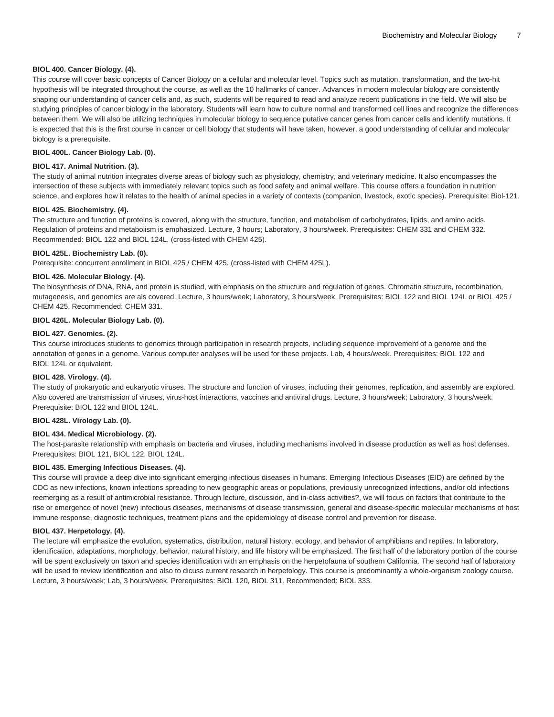#### **BIOL 400. Cancer Biology. (4).**

This course will cover basic concepts of Cancer Biology on a cellular and molecular level. Topics such as mutation, transformation, and the two-hit hypothesis will be integrated throughout the course, as well as the 10 hallmarks of cancer. Advances in modern molecular biology are consistently shaping our understanding of cancer cells and, as such, students will be required to read and analyze recent publications in the field. We will also be studying principles of cancer biology in the laboratory. Students will learn how to culture normal and transformed cell lines and recognize the differences between them. We will also be utilizing techniques in molecular biology to sequence putative cancer genes from cancer cells and identify mutations. It is expected that this is the first course in cancer or cell biology that students will have taken, however, a good understanding of cellular and molecular biology is a prerequisite.

#### **BIOL 400L. Cancer Biology Lab. (0).**

#### **BIOL 417. Animal Nutrition. (3).**

The study of animal nutrition integrates diverse areas of biology such as physiology, chemistry, and veterinary medicine. It also encompasses the intersection of these subjects with immediately relevant topics such as food safety and animal welfare. This course offers a foundation in nutrition science, and explores how it relates to the health of animal species in a variety of contexts (companion, livestock, exotic species). Prerequisite: Biol-121.

#### **BIOL 425. Biochemistry. (4).**

The structure and function of proteins is covered, along with the structure, function, and metabolism of carbohydrates, lipids, and amino acids. Regulation of proteins and metabolism is emphasized. Lecture, 3 hours; Laboratory, 3 hours/week. Prerequisites: [CHEM 331](/search/?P=CHEM%20331) and [CHEM 332](/search/?P=CHEM%20332). Recommended: [BIOL 122](/search/?P=BIOL%20122) and [BIOL 124L.](/search/?P=BIOL%20124L) (cross-listed with [CHEM 425\)](/search/?P=CHEM%20425).

#### **BIOL 425L. Biochemistry Lab. (0).**

Prerequisite: concurrent enrollment in [BIOL 425](/search/?P=BIOL%20425) / [CHEM 425.](/search/?P=CHEM%20425) (cross-listed with [CHEM 425L\)](/search/?P=CHEM%20425L).

#### **BIOL 426. Molecular Biology. (4).**

The biosynthesis of DNA, RNA, and protein is studied, with emphasis on the structure and regulation of genes. Chromatin structure, recombination, mutagenesis, and genomics are als covered. Lecture, 3 hours/week; Laboratory, 3 hours/week. Prerequisites: [BIOL 122](/search/?P=BIOL%20122) and [BIOL 124L](/search/?P=BIOL%20124L) or [BIOL 425](/search/?P=BIOL%20425) / [CHEM 425](/search/?P=CHEM%20425). Recommended: [CHEM 331](/search/?P=CHEM%20331).

#### **BIOL 426L. Molecular Biology Lab. (0).**

#### **BIOL 427. Genomics. (2).**

This course introduces students to genomics through participation in research projects, including sequence improvement of a genome and the annotation of genes in a genome. Various computer analyses will be used for these projects. Lab, 4 hours/week. Prerequisites: [BIOL 122](/search/?P=BIOL%20122) and [BIOL 124L](/search/?P=BIOL%20124L) or equivalent.

#### **BIOL 428. Virology. (4).**

The study of prokaryotic and eukaryotic viruses. The structure and function of viruses, including their genomes, replication, and assembly are explored. Also covered are transmission of viruses, virus-host interactions, vaccines and antiviral drugs. Lecture, 3 hours/week; Laboratory, 3 hours/week. Prerequisite: [BIOL 122](/search/?P=BIOL%20122) and [BIOL 124L.](/search/?P=BIOL%20124L)

#### **BIOL 428L. Virology Lab. (0).**

#### **BIOL 434. Medical Microbiology. (2).**

The host-parasite relationship with emphasis on bacteria and viruses, including mechanisms involved in disease production as well as host defenses. Prerequisites: [BIOL 121,](/search/?P=BIOL%20121) [BIOL 122](/search/?P=BIOL%20122), [BIOL 124L.](/search/?P=BIOL%20124L)

#### **BIOL 435. Emerging Infectious Diseases. (4).**

This course will provide a deep dive into significant emerging infectious diseases in humans. Emerging Infectious Diseases (EID) are defined by the CDC as new infections, known infections spreading to new geographic areas or populations, previously unrecognized infections, and/or old infections reemerging as a result of antimicrobial resistance. Through lecture, discussion, and in-class activities?, we will focus on factors that contribute to the rise or emergence of novel (new) infectious diseases, mechanisms of disease transmission, general and disease-specific molecular mechanisms of host immune response, diagnostic techniques, treatment plans and the epidemiology of disease control and prevention for disease.

#### **BIOL 437. Herpetology. (4).**

The lecture will emphasize the evolution, systematics, distribution, natural history, ecology, and behavior of amphibians and reptiles. In laboratory, identification, adaptations, morphology, behavior, natural history, and life history will be emphasized. The first half of the laboratory portion of the course will be spent exclusively on taxon and species identification with an emphasis on the herpetofauna of southern California. The second half of laboratory will be used to review identification and also to dicuss current research in herpetology. This course is predominantly a whole-organism zoology course. Lecture, 3 hours/week; Lab, 3 hours/week. Prerequisites: [BIOL 120,](/search/?P=BIOL%20120) [BIOL 311](/search/?P=BIOL%20311). Recommended: [BIOL 333](/search/?P=BIOL%20333).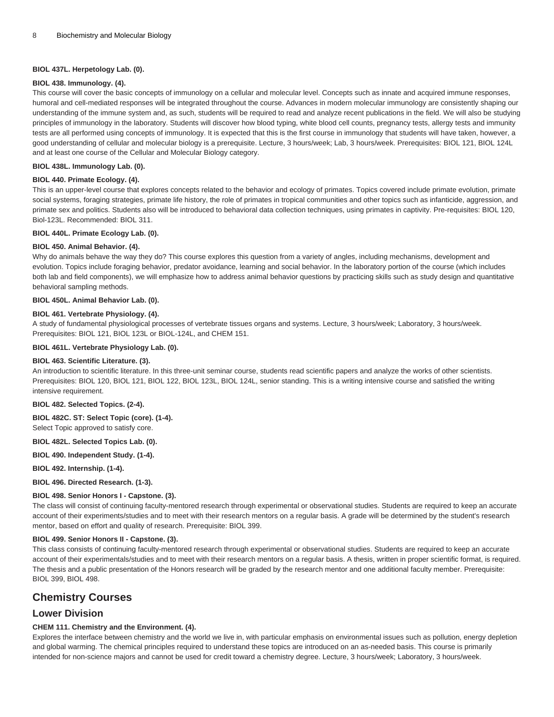#### **BIOL 437L. Herpetology Lab. (0).**

#### **BIOL 438. Immunology. (4).**

This course will cover the basic concepts of immunology on a cellular and molecular level. Concepts such as innate and acquired immune responses, humoral and cell-mediated responses will be integrated throughout the course. Advances in modern molecular immunology are consistently shaping our understanding of the immune system and, as such, students will be required to read and analyze recent publications in the field. We will also be studying principles of immunology in the laboratory. Students will discover how blood typing, white blood cell counts, pregnancy tests, allergy tests and immunity tests are all performed using concepts of immunology. It is expected that this is the first course in immunology that students will have taken, however, a good understanding of cellular and molecular biology is a prerequisite. Lecture, 3 hours/week; Lab, 3 hours/week. Prerequisites: [BIOL 121](/search/?P=BIOL%20121), [BIOL 124L](/search/?P=BIOL%20124L) and at least one course of the Cellular and Molecular Biology category.

#### **BIOL 438L. Immunology Lab. (0).**

#### **BIOL 440. Primate Ecology. (4).**

This is an upper-level course that explores concepts related to the behavior and ecology of primates. Topics covered include primate evolution, primate social systems, foraging strategies, primate life history, the role of primates in tropical communities and other topics such as infanticide, aggression, and primate sex and politics. Students also will be introduced to behavioral data collection techniques, using primates in captivity. Pre-requisites: [BIOL 120,](/search/?P=BIOL%20120) Biol-123L. Recommended: [BIOL 311.](/search/?P=BIOL%20311)

#### **BIOL 440L. Primate Ecology Lab. (0).**

#### **BIOL 450. Animal Behavior. (4).**

Why do animals behave the way they do? This course explores this question from a variety of angles, including mechanisms, development and evolution. Topics include foraging behavior, predator avoidance, learning and social behavior. In the laboratory portion of the course (which includes both lab and field components), we will emphasize how to address animal behavior questions by practicing skills such as study design and quantitative behavioral sampling methods.

#### **BIOL 450L. Animal Behavior Lab. (0).**

## **BIOL 461. Vertebrate Physiology. (4).**

A study of fundamental physiological processes of vertebrate tissues organs and systems. Lecture, 3 hours/week; Laboratory, 3 hours/week. Prerequisites: [BIOL 121,](/search/?P=BIOL%20121) [BIOL 123L](/search/?P=BIOL%20123L) or BIOL-124L, and [CHEM 151](/search/?P=CHEM%20151).

#### **BIOL 461L. Vertebrate Physiology Lab. (0).**

#### **BIOL 463. Scientific Literature. (3).**

An introduction to scientific literature. In this three-unit seminar course, students read scientific papers and analyze the works of other scientists. Prerequisites: [BIOL 120,](/search/?P=BIOL%20120) [BIOL 121](/search/?P=BIOL%20121), [BIOL 122](/search/?P=BIOL%20122), [BIOL 123L](/search/?P=BIOL%20123L), [BIOL 124L,](/search/?P=BIOL%20124L) senior standing. This is a writing intensive course and satisfied the writing intensive requirement.

#### **BIOL 482. Selected Topics. (2-4).**

**BIOL 482C. ST: Select Topic (core). (1-4).**

Select Topic approved to satisfy core.

**BIOL 482L. Selected Topics Lab. (0).**

**BIOL 490. Independent Study. (1-4).**

**BIOL 492. Internship. (1-4).**

**BIOL 496. Directed Research. (1-3).**

#### **BIOL 498. Senior Honors I - Capstone. (3).**

The class will consist of continuing faculty-mentored research through experimental or observational studies. Students are required to keep an accurate account of their experiments/studies and to meet with their research mentors on a regular basis. A grade will be determined by the student's research mentor, based on effort and quality of research. Prerequisite: [BIOL 399](/search/?P=BIOL%20399).

#### **BIOL 499. Senior Honors II - Capstone. (3).**

This class consists of continuing faculty-mentored research through experimental or observational studies. Students are required to keep an accurate account of their experimentals/studies and to meet with their research mentors on a regular basis. A thesis, written in proper scientific format, is required. The thesis and a public presentation of the Honors research will be graded by the research mentor and one additional faculty member. Prerequisite: [BIOL 399,](/search/?P=BIOL%20399) [BIOL 498](/search/?P=BIOL%20498).

# **Chemistry Courses**

# **Lower Division**

#### **CHEM 111. Chemistry and the Environment. (4).**

Explores the interface between chemistry and the world we live in, with particular emphasis on environmental issues such as pollution, energy depletion and global warming. The chemical principles required to understand these topics are introduced on an as-needed basis. This course is primarily intended for non-science majors and cannot be used for credit toward a chemistry degree. Lecture, 3 hours/week; Laboratory, 3 hours/week.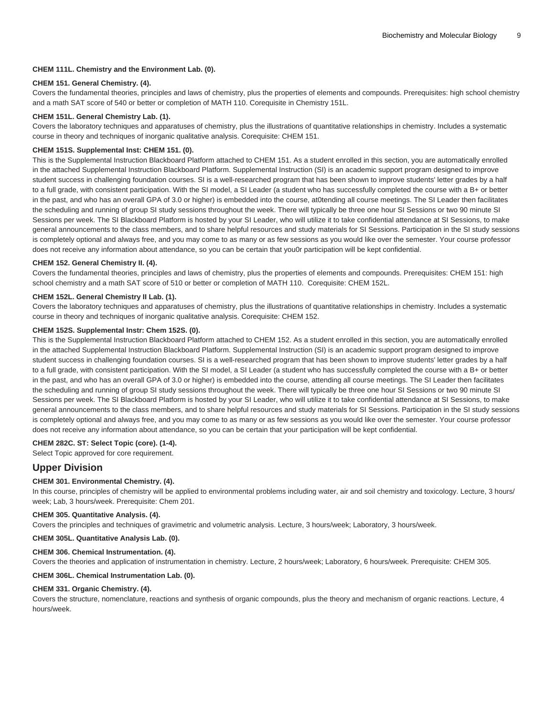### **CHEM 111L. Chemistry and the Environment Lab. (0).**

#### **CHEM 151. General Chemistry. (4).**

Covers the fundamental theories, principles and laws of chemistry, plus the properties of elements and compounds. Prerequisites: high school chemistry and a math SAT score of 540 or better or completion of [MATH 110.](/search/?P=MATH%20110) Corequisite in Chemistry 151L.

#### **CHEM 151L. General Chemistry Lab. (1).**

Covers the laboratory techniques and apparatuses of chemistry, plus the illustrations of quantitative relationships in chemistry. Includes a systematic course in theory and techniques of inorganic qualitative analysis. Corequisite: [CHEM 151.](/search/?P=CHEM%20151)

#### **CHEM 151S. Supplemental Inst: CHEM 151. (0).**

This is the Supplemental Instruction Blackboard Platform attached to [CHEM 151](/search/?P=CHEM%20151). As a student enrolled in this section, you are automatically enrolled in the attached Supplemental Instruction Blackboard Platform. Supplemental Instruction (SI) is an academic support program designed to improve student success in challenging foundation courses. SI is a well-researched program that has been shown to improve students' letter grades by a half to a full grade, with consistent participation. With the SI model, a SI Leader (a student who has successfully completed the course with a B+ or better in the past, and who has an overall GPA of 3.0 or higher) is embedded into the course, at0tending all course meetings. The SI Leader then facilitates the scheduling and running of group SI study sessions throughout the week. There will typically be three one hour SI Sessions or two 90 minute SI Sessions per week. The SI Blackboard Platform is hosted by your SI Leader, who will utilize it to take confidential attendance at SI Sessions, to make general announcements to the class members, and to share helpful resources and study materials for SI Sessions. Participation in the SI study sessions is completely optional and always free, and you may come to as many or as few sessions as you would like over the semester. Your course professor does not receive any information about attendance, so you can be certain that you0r participation will be kept confidential.

#### **CHEM 152. General Chemistry II. (4).**

Covers the fundamental theories, principles and laws of chemistry, plus the properties of elements and compounds. Prerequisites: [CHEM 151:](/search/?P=CHEM%20151) high school chemistry and a math SAT score of 510 or better or completion of [MATH 110](/search/?P=MATH%20110). Corequisite: [CHEM 152L.](/search/?P=CHEM%20152L)

#### **CHEM 152L. General Chemistry II Lab. (1).**

Covers the laboratory techniques and apparatuses of chemistry, plus the illustrations of quantitative relationships in chemistry. Includes a systematic course in theory and techniques of inorganic qualitative analysis. Corequisite: [CHEM 152.](/search/?P=CHEM%20152)

#### **CHEM 152S. Supplemental Instr: Chem 152S. (0).**

This is the Supplemental Instruction Blackboard Platform attached to [CHEM 152](/search/?P=CHEM%20152). As a student enrolled in this section, you are automatically enrolled in the attached Supplemental Instruction Blackboard Platform. Supplemental Instruction (SI) is an academic support program designed to improve student success in challenging foundation courses. SI is a well-researched program that has been shown to improve students' letter grades by a half to a full grade, with consistent participation. With the SI model, a SI Leader (a student who has successfully completed the course with a B+ or better in the past, and who has an overall GPA of 3.0 or higher) is embedded into the course, attending all course meetings. The SI Leader then facilitates the scheduling and running of group SI study sessions throughout the week. There will typically be three one hour SI Sessions or two 90 minute SI Sessions per week. The SI Blackboard Platform is hosted by your SI Leader, who will utilize it to take confidential attendance at SI Sessions, to make general announcements to the class members, and to share helpful resources and study materials for SI Sessions. Participation in the SI study sessions is completely optional and always free, and you may come to as many or as few sessions as you would like over the semester. Your course professor does not receive any information about attendance, so you can be certain that your participation will be kept confidential.

# **CHEM 282C. ST: Select Topic (core). (1-4).**

Select Topic approved for core requirement.

# **Upper Division**

#### **CHEM 301. Environmental Chemistry. (4).**

In this course, principles of chemistry will be applied to environmental problems including water, air and soil chemistry and toxicology. Lecture, 3 hours/ week; Lab, 3 hours/week. Prerequisite: Chem 201.

#### **CHEM 305. Quantitative Analysis. (4).**

Covers the principles and techniques of gravimetric and volumetric analysis. Lecture, 3 hours/week; Laboratory, 3 hours/week.

#### **CHEM 305L. Quantitative Analysis Lab. (0).**

#### **CHEM 306. Chemical Instrumentation. (4).**

Covers the theories and application of instrumentation in chemistry. Lecture, 2 hours/week; Laboratory, 6 hours/week. Prerequisite: [CHEM 305.](/search/?P=CHEM%20305)

#### **CHEM 306L. Chemical Instrumentation Lab. (0).**

#### **CHEM 331. Organic Chemistry. (4).**

Covers the structure, nomenclature, reactions and synthesis of organic compounds, plus the theory and mechanism of organic reactions. Lecture, 4 hours/week.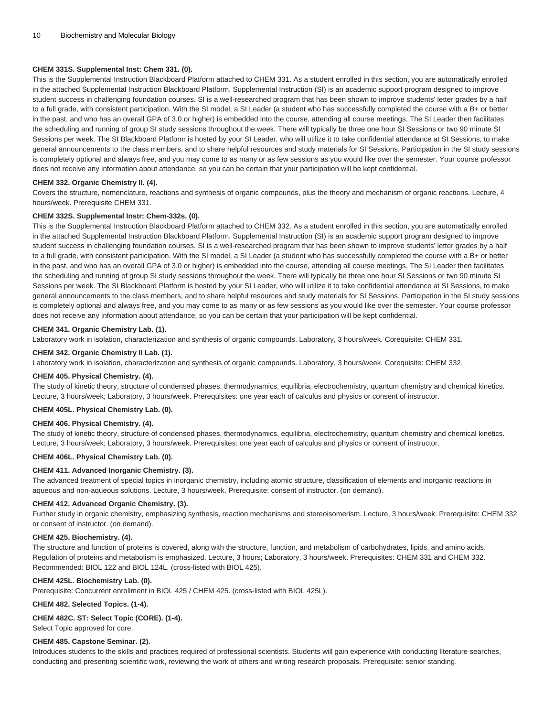#### **CHEM 331S. Supplemental Inst: Chem 331. (0).**

This is the Supplemental Instruction Blackboard Platform attached to [CHEM 331](/search/?P=CHEM%20331). As a student enrolled in this section, you are automatically enrolled in the attached Supplemental Instruction Blackboard Platform. Supplemental Instruction (SI) is an academic support program designed to improve student success in challenging foundation courses. SI is a well-researched program that has been shown to improve students' letter grades by a half to a full grade, with consistent participation. With the SI model, a SI Leader (a student who has successfully completed the course with a B+ or better in the past, and who has an overall GPA of 3.0 or higher) is embedded into the course, attending all course meetings. The SI Leader then facilitates the scheduling and running of group SI study sessions throughout the week. There will typically be three one hour SI Sessions or two 90 minute SI Sessions per week. The SI Blackboard Platform is hosted by your SI Leader, who will utilize it to take confidential attendance at SI Sessions, to make general announcements to the class members, and to share helpful resources and study materials for SI Sessions. Participation in the SI study sessions is completely optional and always free, and you may come to as many or as few sessions as you would like over the semester. Your course professor does not receive any information about attendance, so you can be certain that your participation will be kept confidential.

#### **CHEM 332. Organic Chemistry II. (4).**

Covers the structure, nomenclature, reactions and synthesis of organic compounds, plus the theory and mechanism of organic reactions. Lecture, 4 hours/week. Prerequisite [CHEM 331](/search/?P=CHEM%20331).

#### **CHEM 332S. Supplemental Instr: Chem-332s. (0).**

This is the Supplemental Instruction Blackboard Platform attached to [CHEM 332](/search/?P=CHEM%20332). As a student enrolled in this section, you are automatically enrolled in the attached Supplemental Instruction Blackboard Platform. Supplemental Instruction (SI) is an academic support program designed to improve student success in challenging foundation courses. SI is a well-researched program that has been shown to improve students' letter grades by a half to a full grade, with consistent participation. With the SI model, a SI Leader (a student who has successfully completed the course with a B+ or better in the past, and who has an overall GPA of 3.0 or higher) is embedded into the course, attending all course meetings. The SI Leader then facilitates the scheduling and running of group SI study sessions throughout the week. There will typically be three one hour SI Sessions or two 90 minute SI Sessions per week. The SI Blackboard Platform is hosted by your SI Leader, who will utilize it to take confidential attendance at SI Sessions, to make general announcements to the class members, and to share helpful resources and study materials for SI Sessions. Participation in the SI study sessions is completely optional and always free, and you may come to as many or as few sessions as you would like over the semester. Your course professor does not receive any information about attendance, so you can be certain that your participation will be kept confidential.

#### **CHEM 341. Organic Chemistry Lab. (1).**

Laboratory work in isolation, characterization and synthesis of organic compounds. Laboratory, 3 hours/week. Corequisite: [CHEM 331.](/search/?P=CHEM%20331)

## **CHEM 342. Organic Chemistry II Lab. (1).**

Laboratory work in isolation, characterization and synthesis of organic compounds. Laboratory, 3 hours/week. Corequisite: [CHEM 332.](/search/?P=CHEM%20332)

#### **CHEM 405. Physical Chemistry. (4).**

The study of kinetic theory, structure of condensed phases, thermodynamics, equilibria, electrochemistry, quantum chemistry and chemical kinetics. Lecture, 3 hours/week; Laboratory, 3 hours/week. Prerequisites: one year each of calculus and physics or consent of instructor.

#### **CHEM 405L. Physical Chemistry Lab. (0).**

#### **CHEM 406. Physical Chemistry. (4).**

The study of kinetic theory, structure of condensed phases, thermodynamics, equilibria, electrochemistry, quantum chemistry and chemical kinetics. Lecture, 3 hours/week; Laboratory, 3 hours/week. Prerequisites: one year each of calculus and physics or consent of instructor.

#### **CHEM 406L. Physical Chemistry Lab. (0).**

#### **CHEM 411. Advanced Inorganic Chemistry. (3).**

The advanced treatment of special topics in inorganic chemistry, including atomic structure, classification of elements and inorganic reactions in aqueous and non-aqueous solutions. Lecture, 3 hours/week. Prerequisite: consent of instructor. (on demand).

#### **CHEM 412. Advanced Organic Chemistry. (3).**

Further study in organic chemistry, emphasizing synthesis, reaction mechanisms and stereoisomerism. Lecture, 3 hours/week. Prerequisite: [CHEM 332](/search/?P=CHEM%20332) or consent of instructor. (on demand).

#### **CHEM 425. Biochemistry. (4).**

The structure and function of proteins is covered, along with the structure, function, and metabolism of carbohydrates, lipids, and amino acids. Regulation of proteins and metabolism is emphasized. Lecture, 3 hours; Laboratory, 3 hours/week. Prerequisites: [CHEM 331](/search/?P=CHEM%20331) and [CHEM 332](/search/?P=CHEM%20332). Recommended: [BIOL 122](/search/?P=BIOL%20122) and [BIOL 124L.](/search/?P=BIOL%20124L) (cross-listed with [BIOL 425\)](/search/?P=BIOL%20425).

#### **CHEM 425L. Biochemistry Lab. (0).**

Prerequisite: Concurrent enrollment in [BIOL 425](/search/?P=BIOL%20425) / [CHEM 425.](/search/?P=CHEM%20425) (cross-listed with [BIOL 425L](/search/?P=BIOL%20425L)).

**CHEM 482. Selected Topics. (1-4).**

#### **CHEM 482C. ST: Select Topic (CORE). (1-4).**

Select Topic approved for core.

#### **CHEM 485. Capstone Seminar. (2).**

Introduces students to the skills and practices required of professional scientists. Students will gain experience with conducting literature searches, conducting and presenting scientific work, reviewing the work of others and writing research proposals. Prerequisite: senior standing.